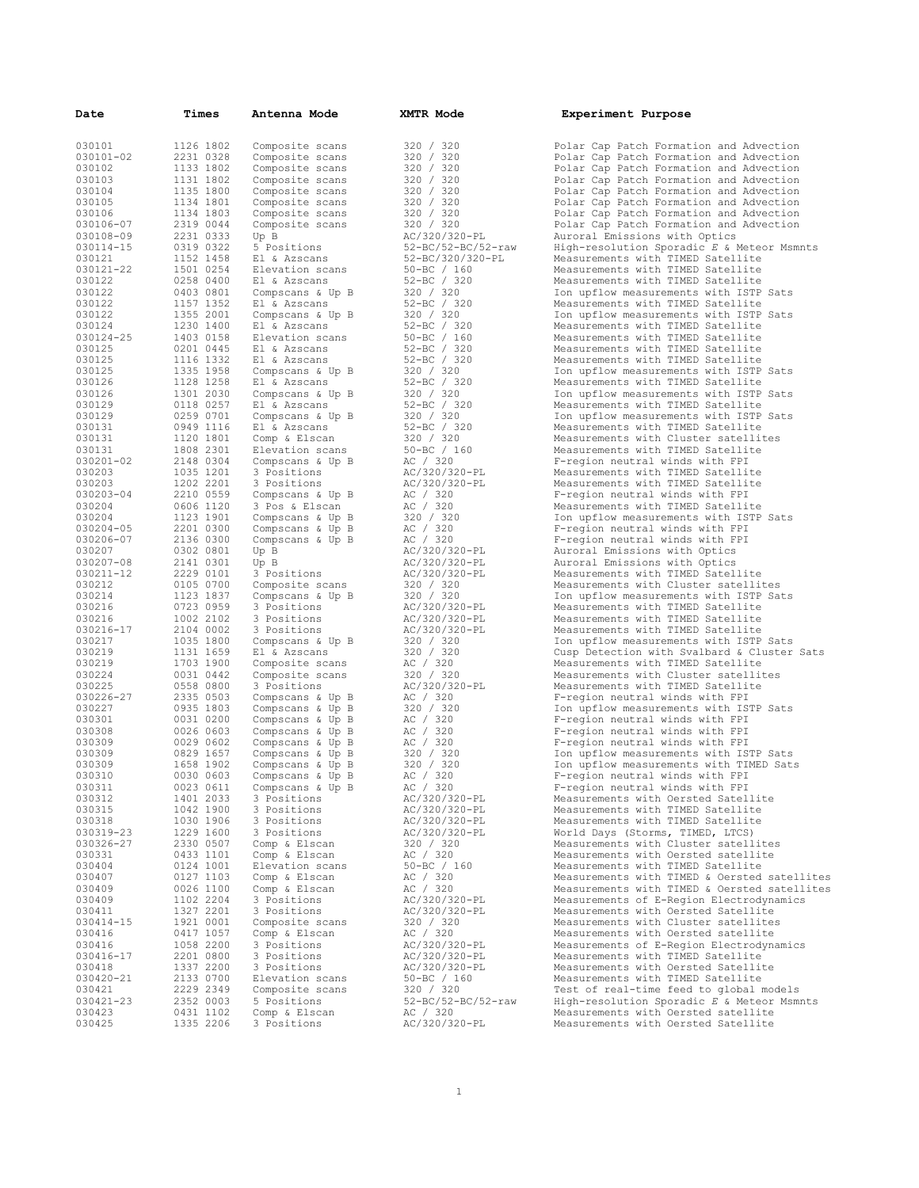| Date                   | Times                  | Antenna Mode                         | XMTR Mode                  | Experiment Purpose                                                             |
|------------------------|------------------------|--------------------------------------|----------------------------|--------------------------------------------------------------------------------|
| 030101                 | 1126 1802              | Composite scans                      | 320 / 320                  | Polar Cap Patch Formation and Advecti                                          |
| 030101-02              | 2231 0328              | Composite scans                      | 320 / 320                  | Polar Cap Patch Formation and Advecti                                          |
| 030102                 | 1133 1802              | Composite scans                      | 320 / 320                  | Polar Cap Patch Formation and Advecti                                          |
| 030103                 | 1131 1802              | Composite scans                      | 320 / 320                  | Polar Cap Patch Formation and Advecti                                          |
| 030104                 | 1135 1800              | Composite scans                      | 320 / 320                  | Polar Cap Patch Formation and Advecti                                          |
| 030105                 | 1134 1801              | Composite scans                      | 320 / 320                  | Polar Cap Patch Formation and Advecti                                          |
| 030106                 | 1134 1803              | Composite scans                      | 320 / 320                  | Polar Cap Patch Formation and Advecti                                          |
| 030106-07<br>030108-09 | 2319 0044<br>2231 0333 | Composite scans                      | 320 / 320<br>AC/320/320-PL | Polar Cap Patch Formation and Advecti                                          |
| 030114-15              | 0319 0322              | Up B<br>5 Positions                  | 52-BC/52-BC/52-raw         | Auroral Emissions with Optics<br>High-resolution Sporadic $E$ & Meteor M       |
| 030121                 | 1152 1458              | El & Azscans                         | 52-BC/320/320-PL           | Measurements with TIMED Satellite                                              |
| 030121-22              | 1501 0254              | Elevation scans                      | 50-BC / 160                | Measurements with TIMED Satellite                                              |
| 030122                 | 0258 0400              | El & Azscans                         | $52-BC$ / 320              | Measurements with TIMED Satellite                                              |
| 030122                 | 0403 0801              | Compscans & Up B                     | 320 / 320                  | Ion upflow measurements with ISTP Sat                                          |
| 030122                 | 1157 1352              | El & Azscans                         | 52-BC / 320                | Measurements with TIMED Satellite                                              |
| 030122                 | 1355 2001              | Compscans & Up B                     | 320 / 320                  | Ion upflow measurements with ISTP Sat                                          |
| 030124                 | 1230 1400              | El & Azscans                         | $52 - BC / 320$            | Measurements with TIMED Satellite                                              |
| 030124-25              | 1403 0158              | Elevation scans                      | $50 - BC$ / 160            | Measurements with TIMED Satellite                                              |
| 030125                 | 0201 0445              | El & Azscans                         | $52 - BC / 320$            | Measurements with TIMED Satellite                                              |
| 030125                 | 1116 1332              | El & Azscans                         | $52 - BC / 320$            | Measurements with TIMED Satellite                                              |
| 030125                 | 1335 1958              | Compscans & Up B                     | 320 / 320                  | Ion upflow measurements with ISTP Sat                                          |
| 030126                 | 1128 1258              | El & Azscans                         | 52-BC / 320                | Measurements with TIMED Satellite                                              |
| 030126<br>030129       | 1301 2030              | Compscans & Up B                     | 320 / 320                  | Ion upflow measurements with ISTP Sat                                          |
| 030129                 | 0118 0257<br>0259 0701 | El & Azscans                         | $52-BC$ / 320<br>320 / 320 | Measurements with TIMED Satellite<br>Ion upflow measurements with ISTP Sat     |
| 030131                 | 0949 1116              | Compscans & Up B<br>El & Azscans     | 52-BC / 320                | Measurements with TIMED Satellite                                              |
| 030131                 | 1120 1801              | Comp & Elscan                        | 320 / 320                  | Measurements with Cluster satellites                                           |
| 030131                 | 1808 2301              | Elevation scans                      | $50 - BC / 160$            | Measurements with TIMED Satellite                                              |
| 030201-02              | 2148 0304              | Compscans & Up B                     | AC / 320                   | F-region neutral winds with FPI                                                |
| 030203                 | 1035 1201              | 3 Positions                          | AC/320/320-PL              | Measurements with TIMED Satellite                                              |
| 030203                 | 1202 2201              | 3 Positions                          | AC/320/320-PL              | Measurements with TIMED Satellite                                              |
| 030203-04              | 2210 0559              | Compscans & Up B                     | AC / 320                   | F-region neutral winds with FPI                                                |
| 030204                 | 0606 1120              | 3 Pos & Elscan                       | AC / 320                   | Measurements with TIMED Satellite                                              |
| 030204                 | 1123 1901              | Compscans & Up B                     | 320 / 320                  | Ion upflow measurements with ISTP Sat                                          |
| 030204-05              | 2201 0300              | Compscans & Up B                     | AC / 320                   | F-region neutral winds with FPI                                                |
| 030206-07              | 2136 0300              | Compscans & Up B                     | AC / 320                   | F-region neutral winds with FPI                                                |
| 030207                 | 0302 0801              | Up B                                 | AC/320/320-PL              | Auroral Emissions with Optics                                                  |
| 030207-08              | 2141 0301              | Up B                                 | AC/320/320-PL              | Auroral Emissions with Optics                                                  |
| 030211-12<br>030212    | 2229 0101<br>0105 0700 | 3 Positions                          | AC/320/320-PL              | Measurements with TIMED Satellite                                              |
| 030214                 | 1123 1837              | Composite scans<br>Compscans & Up B  | 320 / 320<br>320 / 320     | Measurements with Cluster satellites<br>Ion upflow measurements with ISTP Sat  |
| 030216                 | 0723 0959              | 3 Positions                          | AC/320/320-PL              | Measurements with TIMED Satellite                                              |
| 030216                 | 1002 2102              | 3 Positions                          | AC/320/320-PL              | Measurements with TIMED Satellite                                              |
| 030216-17              | 2104 0002              | 3 Positions                          | AC/320/320-PL              | Measurements with TIMED Satellite                                              |
| 030217                 | 1035 1800              | Compscans & Up B                     | 320 / 320                  | Ion upflow measurements with ISTP Sat                                          |
| 030219                 | 1131 1659              | El & Azscans                         | 320 / 320                  | Cusp Detection with Svalbard & Cluste                                          |
| 030219                 | 1703 1900              | Composite scans                      | AC / 320                   | Measurements with TIMED Satellite                                              |
| 030224                 | 0031 0442              | Composite scans                      | 320 / 320                  | Measurements with Cluster satellites                                           |
| 030225                 | 0558 0800              | 3 Positions                          | AC/320/320-PL              | Measurements with TIMED Satellite                                              |
| 030226-27              | 2335 0503              | Compscans & Up B                     | AC / 320                   | F-region neutral winds with FPI                                                |
| 030227                 | 0935 1803              | Compscans & Up B                     | 320 / 320                  | Ion upflow measurements with ISTP Sat                                          |
| 030301                 | 0031 0200              | Compscans & Up B                     | AC / 320                   | F-region neutral winds with FPI                                                |
| 030308<br>030309       | 0026 0603<br>0029 0602 | Compscans & Up B                     | AC / 320                   | F-region neutral winds with FPI                                                |
| 030309                 | 0829 1657              | Compscans & Up B<br>Compscans & Up B | AC / 320<br>320 / 320      | F-region neutral winds with FPI<br>Ion upflow measurements with ISTP Sat       |
| 030309                 | 1658 1902              | Compscans & Up B                     | 320 / 320                  | Ion upflow measurements with TIMED Sa                                          |
| 030310                 | 0030 0603              | Compscans & Up B                     | AC / 320                   | F-region neutral winds with FPI                                                |
| 030311                 | 0023 0611              | Compscans & Up B                     | AC / 320                   | F-region neutral winds with FPI                                                |
| 030312                 | 1401 2033              | 3 Positions                          | AC/320/320-PL              | Measurements with Oersted Satellite                                            |
| 030315                 | 1042 1900              | 3 Positions                          | AC/320/320-PL              | Measurements with TIMED Satellite                                              |
| 030318                 | 1030 1906              | 3 Positions                          | AC/320/320-PL              | Measurements with TIMED Satellite                                              |
| 030319-23              | 1229 1600              | 3 Positions                          | AC/320/320-PL              | World Days (Storms, TIMED, LTCS)                                               |
| 030326-27              | 2330 0507              | Comp & Elscan                        | 320 / 320                  | Measurements with Cluster satellites                                           |
| 030331                 | 0433 1101              | Comp & Elscan                        | AC / 320                   | Measurements with Oersted satellite                                            |
| 030404                 | 0124 1001              | Elevation scans                      | $50 - BC / 160$            | Measurements with TIMED Satellite                                              |
| 030407                 | 0127 1103              | Comp & Elscan                        | AC / 320                   | Measurements with TIMED & Oersted sat                                          |
| 030409<br>030409       | 0026 1100<br>1102 2204 | Comp & Elscan<br>3 Positions         | AC / 320<br>AC/320/320-PL  | Measurements with TIMED & Oersted sat<br>Measurements of E-Region Electrodynam |
| 030411                 | 1327 2201              | 3 Positions                          | AC/320/320-PL              | Measurements with Oersted Satellite                                            |
| 030414-15              | 1921 0001              | Composite scans                      | 320 / 320                  | Measurements with Cluster satellites                                           |
| 030416                 | 0417 1057              | Comp & Elscan                        | AC / 320                   | Measurements with Oersted satellite                                            |
| 030416                 | 1058 2200              | 3 Positions                          | AC/320/320-PL              | Measurements of E-Region Electrodynam                                          |
| 030416-17              | 2201 0800              | 3 Positions                          | AC/320/320-PL              | Measurements with TIMED Satellite                                              |
| 030418                 | 1337 2200              | 3 Positions                          | AC/320/320-PL              | Measurements with Oersted Satellite                                            |
| 030420-21              | 2133 0700              | Elevation scans                      | $50 - BC / 160$            | Measurements with TIMED Satellite                                              |
| 030421                 | 2229 2349              | Composite scans                      | 320 / 320                  | Test of real-time feed to global mode                                          |
| 030421-23              | 2352 0003              | 5 Positions                          | 52-BC/52-BC/52-raw         | High-resolution Sporadic E & Meteor M                                          |
| 030423                 | 0431 1102              | Comp & Elscan                        | AC / 320                   | Measurements with Oersted satellite                                            |
| 030425                 | 1335 2206              | 3 Positions                          | AC/320/320-PL              | Measurements with Oersted Satellite                                            |

020 / 320<br>
0320 / 320 Polar Cap Patch Formation and Advection<br>
Polar Cap Patch Formation and Advection 020 1320 2012 2231 Polar Cap Patch Formation and Advection<br>320 1320 Polar Cap Patch Formation and Advection 020 / 320 1201 2012 Polar Cap Patch Formation and Advection<br>320 / 320 1200 Polar Cap Patch Formation and Advection 020 / 320 1132 1131 1803 1202 Polar Cap Patch Formation and Advection<br>1800 1220 1200 Polar Cap Patch Formation and Advection 020 / 320 1135 1800 Polar Cap Patch Formation and Advection<br>320 / 320 1135 Polar Cap Patch Formation and Advection 020 / 320<br>
0320 / 320 Polar Cap Patch Formation and Advection<br>
Polar Cap Patch Formation and Advection 020 / 320<br>
0320 / 320 Polar Cap Patch Formation and Advection<br>
Polar Cap Patch Formation and Advection 320 / 320<br>Accordiac Composite Scan Patch Formation and Advection ACC 320 / 320 PM  $AC/320/320-PL$ <br>52-BC/52-BC/52-raw High-resolution Sporadic  $E K M$ 52-BC/52-BC/52-raw High-resolution Sporadic *E* & Meteor Msmnts<br>52-BC/320/320-PL Measurements with TIMED Satellite 02-BC/320/320-PL Measurements with TIMED Satellite<br>
50-BC / 160 Measurements with TIMED Satellite<br>
52-BC / 320 Measurements with TIMED Satellite Measurements with TIMED Satellite 02-BC / 320<br>
020 / 320 Measurements with TIMED Satellite<br>
520 / 320 Measurements with ISTP 020 / 320 1 Ion upflow measurements with ISTP Sats<br>
52-BC / 320 Measurements with TIMED Satellite 02-BC / 320<br>320 / 320 100 upflow measurements with ISTP 020 1320 101 Upflow measurements with ISTP Sats<br>
52-BC / 320 Measurements with TIMED Satellite<br>
50-BC / 160 Measurements with TIMED Satellite Measurements with TIMED Satellite 031 50-BC / 160<br>
52-BC / 320 Measurements with TIMED Satellite<br>
52-BC / 320 Measurements with TIMED Satellite Measurements with TIMED Satellite 02-BC / 320 Measurements with TIMED Satellite<br>320 / 320 Ton upflow measurements with ISTP 020 / 320 101 1336 Ion upflow measurements with ISTP Sats<br>52-BC / 320 1020 Measurements with TIMED Satellite 02-BC / 320 Measurements with TIMED Satellite<br>320 / 320 Ton upflow measurements with TSTP 020 / 320 1 Ion upflow measurements with ISTP Sats<br>52-BC / 320 Measurements with TIMED Satellite 02 BC / 320<br>320 / 320 101 Measurements with TIMED Satellite 320 / 320 1001 Upflow measurements with ISTP Sats<br>52-BC / 320 Measurements with TIMED Satellite 032 1320 1320 Measurements with TIMED Satellite<br>320 / 320 Measurements with Cluster satelli 020 / 320<br>50-BC / 160 Measurements with TIMED Satellites 030 50-BC / 160 Measurements with TIMED Satellite<br>
0320 AC / 320<br>
AC/320/320-PL Measurements with TIMED Satellite F-region neutral winds with FPI AC/320/320-PL Measurements with TIMED Satellite<br>AC/320/320-PL Measurements with TIMED Satellite AC/320/320-PL Measurements with TIMED Satellite<br>
AC/320 F-region neutral winds with FPI<br>
AC/320 Measurements with TIMED Satellite F-region neutral winds with FPI AC / 320 Measurements with TIMED Satellite<br>320 / 320 Ton upflow measurements with ISTP 020 / 320 101 upflow measurements with ISTP Sats<br>
AC / 320 F-region neutral winds with FPI 030204-05 2201 0300 Compscans & Up B AC / 320 F-region neutral winds with FPI 030206-07 2136 0300 Compscans & Up B AC / 320 F-region neutral winds with FPI AC/320/320-PL Auroral Emissions with Optics<br>AC/320/320-PL Auroral Emissions with Optics 030207-08 2141 0301 Up B AC/320/320-PL Auroral Emissions with Optics AC/320/320-PL Measurements with TIMED Satellite<br>320 / 320<br>320 / 320 Ion upflow measurements with ISTP Measurements with Cluster satellites 320 / 320<br>AC/320/320-PT, Measurements with TTMED Satellite AC/320/320-PL Measurements with TIMED Satellite<br>AC/320/320-PL Measurements with TIMED Satellite AC/320/320-PL Measurements with TIMED Satellite<br>AC/320/320-PL Measurements with TIMED Satellite AC/320/320-PL Measurements with TIMED Satellite<br>320 / 320 Measurements with ISTP 020 / 320 1036 1035 1036 1040 Ion upflow measurements with ISTP Sats<br>
20 / 320 200 105 Cusp Detection with Svalbard & Cluster 020 / 320 Cusp Detection with Svalbard & Cluster Sats<br>
320 / 320 Measurements with TIMED Satellite 020 1320 Measurements with TIMED Satellite<br>320 / 320 Measurements with Cluster satelli 020 / 320<br>AC/320/320-PL Measurements with TIMED Satellite AC/320/320-PL Measurements with TIMED Satellite<br>AC / 320 - F-region neutral winds with FPI 0220 1020 E-region neutral winds with FPI 320 / 320 Second Up B Ac Islam Ac IS  $0.320$  100220 1002220 Ion upflow measurements with ISTP Sats<br>  $AC / 320$  F-region neutral winds with FPI<br>  $AC / 320$  F-region neutral winds with FPI<br>  $F - 220$  F-region neutral winds with FPI F-region neutral winds with FPI F-region neutral winds with FPI Ac / 320<br>320 / 320 0029 0029 1002 Ton up flow measurements with IS<br>320 / 320 1002 1002 Ion up flow measurements with TI Ion upflow measurements with ISTP Sats 030 320 1658 1658 1659 1658 1903 1658 1903 1658 1658 1659 1658 1659 1658 1659 1658 1658 1659 1658 1658 1658 16 030310 0030 0603 Compscans & Up B AC / 320 F-region neutral winds with FPI 030311 0023 0611 Compscans & Up B AC / 320 F-region neutral winds with FPI AC/320/320-PL Measurements with Oersted Satellite<br>AC/320/320-PL Measurements with TIMED Satellite AC / 320<br>50-BC / 160 Measurements with TIMED Satellite 030 50-BC / 160 6124 1001 Measurements with TIMED Satellite<br>
041 Measurements with TIMED & Oersted<br>
041 Measurements with TIMED & Oersted Measurements with TIMED & Oersted satellites AC / 320<br>AC/320/320-PL Measurements of E-Region Electrodynamics AC/320/320-PL Measurements of E-Region Electrodynamics<br>AC/320/320-PL Measurements with Oersted Satellite AC/320/320-PL Measurements with Oersted Satellite<br>320 / 320 Measurements with Cluster satellite 020 1320 1920 Measurements with Cluster satellites<br>
AC 1420 120 Measurements with Oersted satellite AC / 320<br>AC/320/320-PL Measurements of E-Region Electrodyn AC/320/320-PL Measurements of E-Region Electrodynamics<br>AC/320/320-PL Measurements with TIMED Satellite AC/320/320-PL Measurements with TIMED Satellite<br>AC/320/320-PL Measurements with Oersted Satelli AC/320/320-PL Measurements with Oersted Satellite<br>50-BC / 160 Measurements with TIMED Satellite 030-DC / 160 Measurements with TIMED Satellite<br>320 / 320 Test of real-time feed to global  $320$  /  $320$ <br> $52-BC/52-RC/52-raw$  High-resolution Sporadic E & Meteor Msm 52-BC/52-BC/52-raw High-resolution Sporadic *E* & Meteor Msmnts<br>AC / 320 Measurements with Oersted satellite AC / 320<br>AC/320/320-PL Measurements with Oersted Satellite Measurements with Oersted Satellite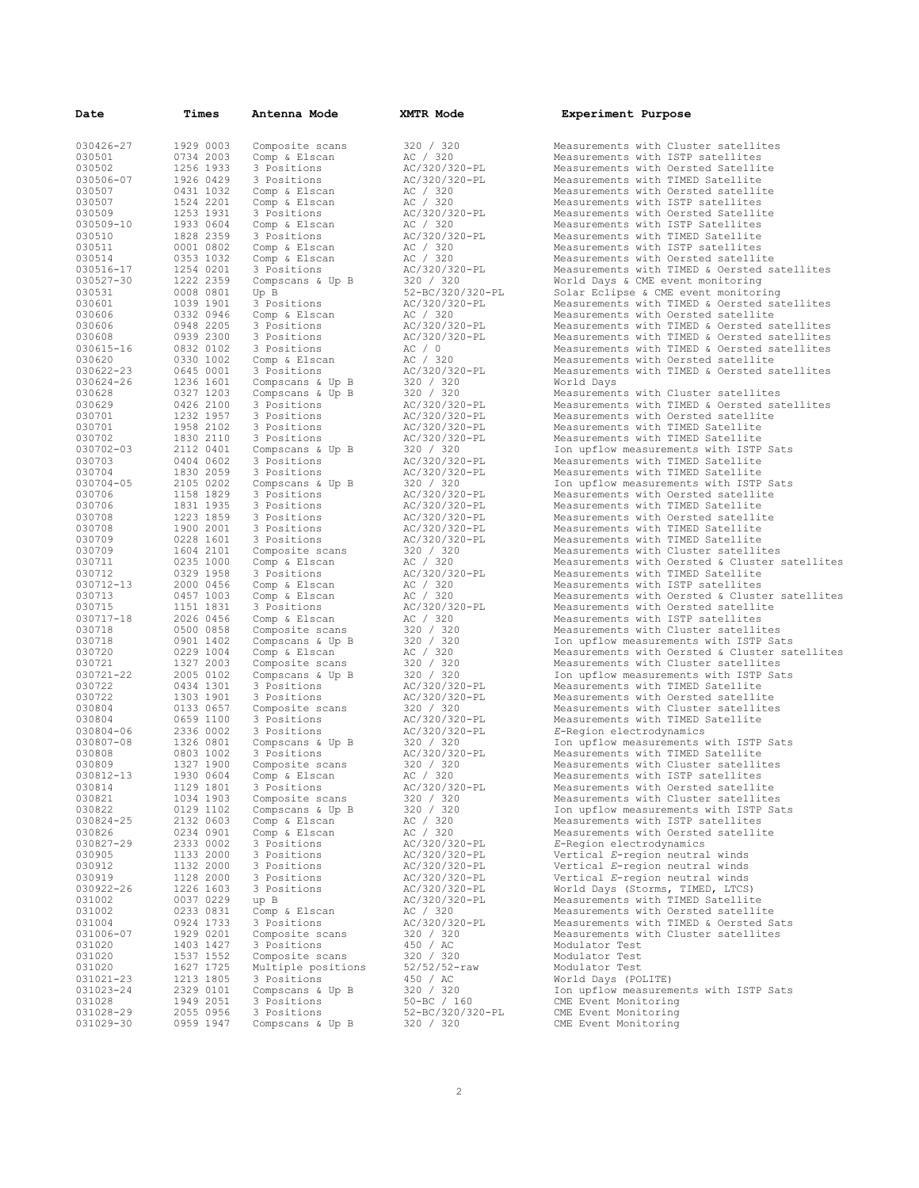| Date                | Times                  | Antenna Mode                    | XMTR Mode                      | Experiment Purpose                                                       |
|---------------------|------------------------|---------------------------------|--------------------------------|--------------------------------------------------------------------------|
|                     |                        |                                 |                                |                                                                          |
| 030426-27           | 1929 0003              | Composite scans                 | 320 / 320                      | Measurements with Cluster satellites                                     |
| 030501              | 0734 2003              | Comp & Elscan                   | AC / 320                       | Measurements with ISTP satellites                                        |
| 030502              | 1256 1933              | 3 Positions                     | AC/320/320-PL                  | Measurements with Oersted Satellite                                      |
| 030506-07           | 1926 0429              | 3 Positions                     | AC/320/320-PL                  | Measurements with TIMED Satellite                                        |
| 030507              | 0431 1032              | Comp & Elscan                   | AC / 320                       | Measurements with Oersted satellite                                      |
| 030507              | 1524 2201              | Comp & Elscan                   | AC / 320                       | Measurements with ISTP satellites                                        |
| 030509              | 1253 1931              | 3 Positions                     | AC/320/320-PL                  | Measurements with Oersted Satellite                                      |
| 030509-10           | 1933 0604              | Comp & Elscan                   | AC / 320                       | Measurements with ISTP Satellites                                        |
| 030510              | 1828 2359              | 3 Positions                     | AC/320/320-PL                  | Measurements with TIMED Satellite                                        |
| 030511<br>030514    | 0001 0802<br>0353 1032 | Comp & Elscan                   | AC / 320                       | Measurements with ISTP satellites<br>Measurements with Oersted satellite |
| 030516-17           | 1254 0201              | Comp & Elscan                   | AC / 320<br>AC/320/320-PL      | Measurements with TIMED & Oersted satellites                             |
| 030527-30           | 1222 2359              | 3 Positions<br>Compscans & Up B | 320 / 320                      | World Days & CME event monitoring                                        |
| 030531              | 0008 0801              | Up B                            | 52-BC/320/320-PL               | Solar Eclipse & CME event monitoring                                     |
| 030601              | 1039 1901              | 3 Positions                     | AC/320/320-PL                  | Measurements with TIMED & Oersted satellites                             |
| 030606              | 0332 0946              | Comp & Elscan                   | AC / 320                       | Measurements with Oersted satellite                                      |
| 030606              | 0948 2205              | 3 Positions                     | AC/320/320-PL                  | Measurements with TIMED & Oersted satellites                             |
| 030608              | 0939 2300              | 3 Positions                     | AC/320/320-PL                  | Measurements with TIMED & Oersted satellites                             |
| 030615-16           | 0832 0102              | 3 Positions                     | AC / 0                         | Measurements with TIMED & Oersted satellites                             |
| 030620              | 0330 1002              | Comp & Elscan                   | AC / 320                       | Measurements with Oersted satellite                                      |
| 030622-23           | 0645 0001              | 3 Positions                     | AC/320/320-PL                  | Measurements with TIMED & Oersted satellites                             |
| 030624-26           | 1236 1601              | Compscans & Up B                | 320 / 320                      | World Days                                                               |
| 030628              | 0327 1203              | Compscans & Up B                | 320 / 320                      | Measurements with Cluster satellites                                     |
| 030629              | 0426 2100              | 3 Positions                     | AC/320/320-PL                  | Measurements with TIMED & Oersted satellites                             |
| 030701              | 1232 1957              | 3 Positions                     | AC/320/320-PL                  | Measurements with Oersted satellite                                      |
| 030701              | 1958 2102              | 3 Positions                     | AC/320/320-PL                  | Measurements with TIMED Satellite                                        |
| 030702              | 1830 2110              | 3 Positions                     | AC/320/320-PL                  | Measurements with TIMED Satellite                                        |
| 030702-03           | 2112 0401              | Compscans & Up B                | 320 / 320                      | Ion upflow measurements with ISTP Sats                                   |
| 030703              | 0404 0602              | 3 Positions                     | AC/320/320-PL                  | Measurements with TIMED Satellite                                        |
| 030704              | 1830 2059              | 3 Positions                     | AC/320/320-PL                  | Measurements with TIMED Satellite                                        |
| 030704-05           | 2105 0202              | Compscans & Up B                | 320 / 320                      | Ion upflow measurements with ISTP Sats                                   |
| 030706              | 1158 1829              | 3 Positions                     | AC/320/320-PL                  | Measurements with Oersted satellite                                      |
| 030706              | 1831 1935              | 3 Positions                     | AC/320/320-PL                  | Measurements with TIMED Satellite                                        |
| 030708              | 1223 1859              | 3 Positions                     | AC/320/320-PL                  | Measurements with Oersted satellite                                      |
| 030708              | 1900 2001              | 3 Positions                     | AC/320/320-PL                  | Measurements with TIMED Satellite                                        |
| 030709              | 0228 1601              | 3 Positions                     | AC/320/320-PL                  | Measurements with TIMED Satellite                                        |
| 030709              | 1604 2101              | Composite scans                 | 320 / 320                      | Measurements with Cluster satellites                                     |
| 030711              | 0235 1000              | Comp & Elscan                   | AC / 320                       | Measurements with Oersted & Cluster satellites                           |
| 030712              | 0329 1958              | 3 Positions                     | AC/320/320-PL                  | Measurements with TIMED Satellite                                        |
| 030712-13           | 2000 0456              | Comp & Elscan                   | AC / 320                       | Measurements with ISTP satellites                                        |
| 030713              | 0457 1003              | Comp & Elscan                   | AC / 320                       | Measurements with Oersted & Cluster satellites                           |
| 030715<br>030717-18 | 1151 1831<br>2026 0456 | 3 Positions<br>Comp & Elscan    | AC/320/320-PL                  | Measurements with Oersted satellite<br>Measurements with ISTP satellites |
| 030718              | 0500 0858              | Composite scans                 | AC / 320<br>320 / 320          | Measurements with Cluster satellites                                     |
| 030718              | 0901 1402              | Compscans & Up B                | 320 / 320                      | Ion upflow measurements with ISTP Sats                                   |
| 030720              | 0229 1004              | Comp & Elscan                   | AC / 320                       | Measurements with Oersted & Cluster satellites                           |
| 030721              | 1327 2003              | Composite scans                 | 320 / 320                      | Measurements with Cluster satellites                                     |
| 030721-22           | 2005 0102              | Compscans & Up B                | 320 / 320                      | Ion upflow measurements with ISTP Sats                                   |
| 030722              | 0434 1301              | 3 Positions                     | AC/320/320-PL                  | Measurements with TIMED Satellite                                        |
| 030722              | 1303 1901              | 3 Positions                     | AC/320/320-PL                  | Measurements with Oersted satellite                                      |
| 030804              | 0133 0657              | Composite scans                 | 320 / 320                      | Measurements with Cluster satellites                                     |
| 030804              | 0659 1100              | 3 Positions                     | AC/320/320-PL                  | Measurements with TIMED Satellite                                        |
| 030804-06           | 2336 0002              | 3 Positions                     | AC/320/320-PL                  | E-Region electrodynamics                                                 |
| 030807-08           | 1326 0801              | Compscans & Up B                | 320 / 320                      | Ion upflow measurements with ISTP Sats                                   |
| 030808              | 0803 1002              | 3 Positions                     | AC/320/320-PL                  | Measurements with TIMED Satellite                                        |
| 030809              | 1327 1900              | Composite scans                 | 320 / 320                      | Measurements with Cluster satellites                                     |
| 030812-13           | 1930 0604              | Comp & Elscan                   | AC / 320                       | Measurements with ISTP satellites                                        |
| 030814              | 1129 1801              | 3 Positions                     | AC/320/320-PL                  | Measurements with Oersted satellite                                      |
| 030821              | 1034 1903              | Composite scans                 | 320 / 320                      | Measurements with Cluster satellites                                     |
| 030822              | 0129 1102              | Compscans & Up B                | 320 / 320                      | Ion upflow measurements with ISTP Sats                                   |
| 030824-25           | 2132 0603              | Comp & Elscan                   | AC / 320                       | Measurements with ISTP satellites                                        |
| 030826              | 0234 0901              | Comp & Elscan                   | AC / 320                       | Measurements with Oersted satellite                                      |
| 030827-29           | 2333 0002              | 3 Positions                     | AC/320/320-PL                  | E-Region electrodynamics                                                 |
| 030905              | 1133 2000              | 3 Positions                     | AC/320/320-PL                  | Vertical E-region neutral winds                                          |
| 030912              | 1132 2000              | 3 Positions                     | AC/320/320-PL                  | Vertical E-region neutral winds                                          |
| 030919              | 1128 2000              | 3 Positions                     | AC/320/320-PL                  | Vertical E-region neutral winds                                          |
| 030922-26           | 1226 1603<br>0037 0229 | 3 Positions                     | AC/320/320-PL<br>AC/320/320-PL | World Days (Storms, TIMED, LTCS)<br>Measurements with TIMED Satellite    |
| 031002              |                        | up B<br>Comp & Elscan           | AC / 320                       | Measurements with Oersted satellite                                      |
| 031002<br>031004    | 0233 0831<br>0924 1733 | 3 Positions                     | AC/320/320-PL                  | Measurements with TIMED & Oersted Sats                                   |
| 031006-07           | 1929 0201              | Composite scans                 | 320 / 320                      | Measurements with Cluster satellites                                     |
| 031020              | 1403 1427              | 3 Positions                     | 450 / AC                       | Modulator Test                                                           |
| 031020              | 1537 1552              | Composite scans                 | 320 / 320                      | Modulator Test                                                           |
| 031020              | 1627 1725              | Multiple positions              | $52/52/52 - raw$               | Modulator Test                                                           |
| 031021-23           | 1213 1805              | 3 Positions                     | 450 / AC                       | World Days (POLITE)                                                      |
| 031023-24           | 2329 0101              | Compscans & Up B                | 320 / 320                      | Ion upflow measurements with ISTP Sats                                   |
| 031028              | 1949 2051              | 3 Positions                     | $50 - BC / 160$                | CME Event Monitoring                                                     |
| 031028-29           | 2055 0956              | 3 Positions                     | 52-BC/320/320-PL               | CME Event Monitoring                                                     |
| 031029-30           | 0959 1947              | Compscans & Up B                | 320 / 320                      | CME Event Monitoring                                                     |